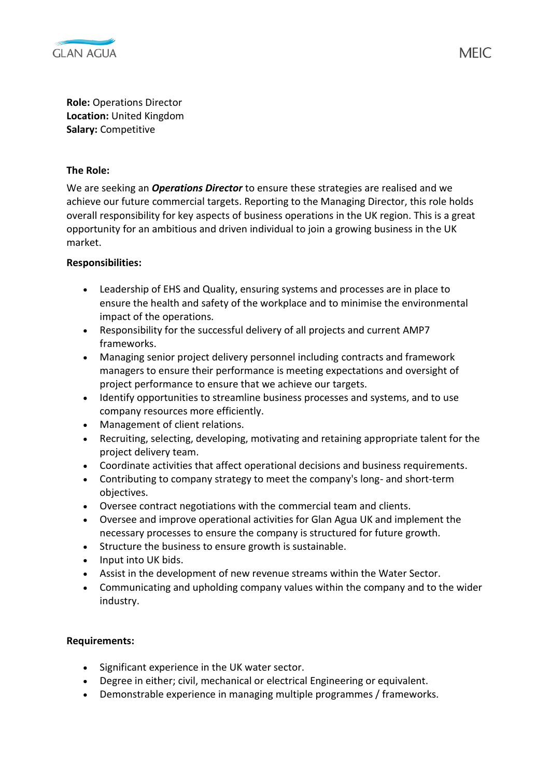

**Role:** Operations Director **Location:** United Kingdom **Salary:** Competitive

## **The Role:**

We are seeking an *Operations Director* to ensure these strategies are realised and we achieve our future commercial targets. Reporting to the Managing Director, this role holds overall responsibility for key aspects of business operations in the UK region. This is a great opportunity for an ambitious and driven individual to join a growing business in the UK market.

## **Responsibilities:**

- Leadership of EHS and Quality, ensuring systems and processes are in place to ensure the health and safety of the workplace and to minimise the environmental impact of the operations.
- Responsibility for the successful delivery of all projects and current AMP7 frameworks.
- Managing senior project delivery personnel including contracts and framework managers to ensure their performance is meeting expectations and oversight of project performance to ensure that we achieve our targets.
- Identify opportunities to streamline business processes and systems, and to use company resources more efficiently.
- Management of client relations.
- Recruiting, selecting, developing, motivating and retaining appropriate talent for the project delivery team.
- Coordinate activities that affect operational decisions and business requirements.
- Contributing to company strategy to meet the company's long- and short-term objectives.
- Oversee contract negotiations with the commercial team and clients.
- Oversee and improve operational activities for Glan Agua UK and implement the necessary processes to ensure the company is structured for future growth.
- Structure the business to ensure growth is sustainable.
- Input into UK bids.
- Assist in the development of new revenue streams within the Water Sector.
- Communicating and upholding company values within the company and to the wider industry.

## **Requirements:**

- Significant experience in the UK water sector.
- Degree in either; civil, mechanical or electrical Engineering or equivalent.
- Demonstrable experience in managing multiple programmes / frameworks.